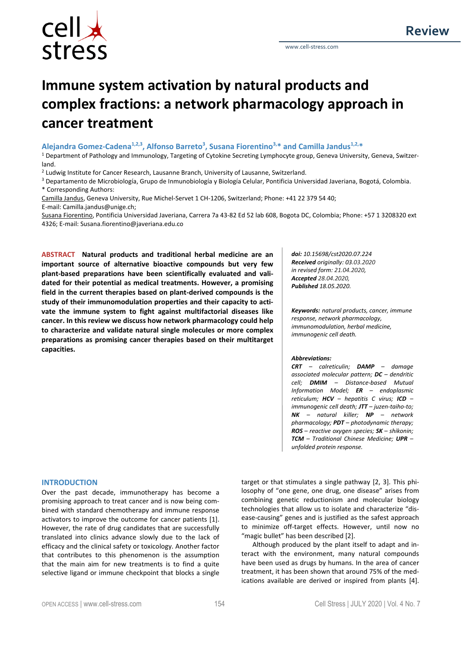

# **Immune system activation by natural products and complex fractions: a network pharmacology approach in cancer treatment**

**Alejandra Gomez-Cadena1,2,3, Alfonso Barreto<sup>3</sup> , Susana Fiorentino3,\* and Camilla Jandus1,2,\***

<sup>1</sup> Department of Pathology and Immunology, Targeting of Cytokine Secreting Lymphocyte group, Geneva University, Geneva, Switzerland.

<sup>2</sup> Ludwig Institute for Cancer Research, Lausanne Branch, University of Lausanne, Switzerland.

<sup>3</sup> Departamento de Microbiología, Grupo de Inmunobiología y Biología Celular, Pontificia Universidad Javeriana, Bogotá, Colombia. \* Corresponding Authors:

Camilla Jandus, Geneva University, Rue Michel-Servet 1 CH-1206, Switzerland; Phone: +41 22 379 54 40; E-mail: Camilla.jandus@unige.ch;

Susana Fiorentino, Pontificia Universidad Javeriana, Carrera 7a 43-82 Ed 52 lab 608, Bogota DC, Colombia; Phone: +57 1 3208320 ext 4326; E-mail: Susana.fiorentino@javeriana.edu.co

**ABSTRACT Natural products and traditional herbal medicine are an important source of alternative bioactive compounds but very few plant-based preparations have been scientifically evaluated and validated for their potential as medical treatments. However, a promising field in the current therapies based on plant-derived compounds is the study of their immunomodulation properties and their capacity to activate the immune system to fight against multifactorial diseases like cancer. In this review we discuss how network pharmacology could help to characterize and validate natural single molecules or more complex preparations as promising cancer therapies based on their multitarget capacities.**

*doi: 10.15698/cst2020.07.224 Received originally: 03.03.2020 in revised form: 21.04.2020, Accepted 28.04.2020, Published 18.05.2020.*

*Keywords: natural products, cancer, immune response, network pharmacology, immunomodulation, herbal medicine, immunogenic cell death.*

### *Abbreviations:*

*CRT – calreticulin; DAMP – damage associated molecular pattern; DC – dendritic cell; DMIM – Distance-based Mutual Information Model; ER – endoplasmic reticulum; HCV – hepatitis C virus; ICD – immunogenic cell death; JTT – juzen-taiho-to; NK – natural killer; NP – network pharmacology; PDT – photodynamic therapy; ROS – reactive oxygen species; SK – shikonin; TCM – Traditional Chinese Medicine; UPR – unfolded protein response.*

### **INTRODUCTION**

Over the past decade, immunotherapy has become a promising approach to treat cancer and is now being combined with standard chemotherapy and immune response activators to improve the outcome for cancer patients [1]. However, the rate of drug candidates that are successfully translated into clinics advance slowly due to the lack of efficacy and the clinical safety or toxicology. Another factor that contributes to this phenomenon is the assumption that the main aim for new treatments is to find a quite selective ligand or immune checkpoint that blocks a single target or that stimulates a single pathway [2, 3]. This philosophy of "one gene, one drug, one disease" arises from combining genetic reductionism and molecular biology technologies that allow us to isolate and characterize "disease-causing" genes and is justified as the safest approach to minimize off-target effects. However, until now no "magic bullet" has been described [2].

Although produced by the plant itself to adapt and interact with the environment, many natural compounds have been used as drugs by humans. In the area of cancer treatment, it has been shown that around 75% of the medications available are derived or inspired from plants [4].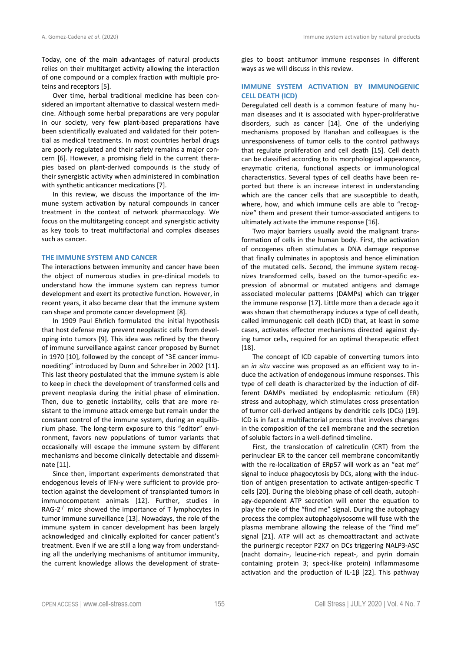Today, one of the main advantages of natural products relies on their multitarget activity allowing the interaction of one compound or a complex fraction with multiple proteins and receptors [5].

Over time, herbal traditional medicine has been considered an important alternative to classical western medicine. Although some herbal preparations are very popular in our society, very few plant-based preparations have been scientifically evaluated and validated for their potential as medical treatments. In most countries herbal drugs are poorly regulated and their safety remains a major concern [6]. However, a promising field in the current therapies based on plant-derived compounds is the study of their synergistic activity when administered in combination with synthetic anticancer medications [7].

In this review, we discuss the importance of the immune system activation by natural compounds in cancer treatment in the context of network pharmacology. We focus on the multitargeting concept and synergistic activity as key tools to treat multifactorial and complex diseases such as cancer.

### **THE IMMUNE SYSTEM AND CANCER**

The interactions between immunity and cancer have been the object of numerous studies in pre-clinical models to understand how the immune system can repress tumor development and exert its protective function. However, in recent years, it also became clear that the immune system can shape and promote cancer development [8].

In 1909 Paul Ehrlich formulated the initial hypothesis that host defense may prevent neoplastic cells from developing into tumors [9]. This idea was refined by the theory of immune surveillance against cancer proposed by Burnet in 1970 [10], followed by the concept of "3E cancer immunoediting" introduced by Dunn and Schreiber in 2002 [11]. This last theory postulated that the immune system is able to keep in check the development of transformed cells and prevent neoplasia during the initial phase of elimination. Then, due to genetic instability, cells that are more resistant to the immune attack emerge but remain under the constant control of the immune system, during an equilibrium phase. The long-term exposure to this "editor" environment, favors new populations of tumor variants that occasionally will escape the immune system by different mechanisms and become clinically detectable and disseminate [11].

Since then, important experiments demonstrated that endogenous levels of IFN-γ were sufficient to provide protection against the development of transplanted tumors in immunocompetent animals [12]. Further, studies in RAG-2 $\frac{1}{2}$  mice showed the importance of T lymphocytes in tumor immune surveillance [13]. Nowadays, the role of the immune system in cancer development has been largely acknowledged and clinically exploited for cancer patient's treatment. Even if we are still a long way from understanding all the underlying mechanisms of antitumor immunity, the current knowledge allows the development of strategies to boost antitumor immune responses in different ways as we will discuss in this review.

# **IMMUNE SYSTEM ACTIVATION BY IMMUNOGENIC CELL DEATH (ICD)**

Deregulated cell death is a common feature of many human diseases and it is associated with hyper-proliferative disorders, such as cancer [14]. One of the underlying mechanisms proposed by Hanahan and colleagues is the unresponsiveness of tumor cells to the control pathways that regulate proliferation and cell death [15]. Cell death can be classified according to its morphological appearance, enzymatic criteria, functional aspects or immunological characteristics. Several types of cell deaths have been reported but there is an increase interest in understanding which are the cancer cells that are susceptible to death, where, how, and which immune cells are able to "recognize" them and present their tumor-associated antigens to ultimately activate the immune response [16].

Two major barriers usually avoid the malignant transformation of cells in the human body. First, the activation of oncogenes often stimulates a DNA damage response that finally culminates in apoptosis and hence elimination of the mutated cells. Second, the immune system recognizes transformed cells, based on the tumor-specific expression of abnormal or mutated antigens and damage associated molecular patterns (DAMPs) which can trigger the immune response [17]. Little more than a decade ago it was shown that chemotherapy induces a type of cell death, called immunogenic cell death (ICD) that, at least in some cases, activates effector mechanisms directed against dying tumor cells, required for an optimal therapeutic effect [18].

The concept of ICD capable of converting tumors into an *in situ* vaccine was proposed as an efficient way to induce the activation of endogenous immune responses. This type of cell death is characterized by the induction of different DAMPs mediated by endoplasmic reticulum (ER) stress and autophagy, which stimulates cross presentation of tumor cell-derived antigens by dendritic cells (DCs) [19]. ICD is in fact a multifactorial process that involves changes in the composition of the cell membrane and the secretion of soluble factors in a well-defined timeline.

First, the translocation of calreticulin (CRT) from the perinuclear ER to the cancer cell membrane concomitantly with the re-localization of ERp57 will work as an "eat me" signal to induce phagocytosis by DCs, along with the induction of antigen presentation to activate antigen-specific T cells [20]. During the blebbing phase of cell death, autophagy-dependent ATP secretion will enter the equation to play the role of the "find me" signal. During the autophagy process the complex autophagolysosome will fuse with the plasma membrane allowing the release of the "find me" signal [21]. ATP will act as chemoattractant and activate the purinergic receptor P2X7 on DCs triggering NALP3-ASC (nacht domain-, leucine-rich repeat-, and pyrin domain containing protein 3; speck-like protein) inflammasome activation and the production of IL-1β [22]. This pathway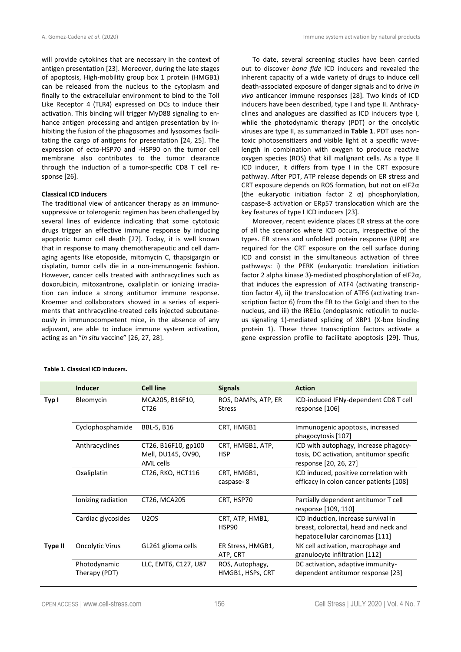will provide cytokines that are necessary in the context of antigen presentation [23]. Moreover, during the late stages of apoptosis, High-mobility group box 1 protein (HMGB1) can be released from the nucleus to the cytoplasm and finally to the extracellular environment to bind to the Toll Like Receptor 4 (TLR4) expressed on DCs to induce their activation. This binding will trigger MyD88 signaling to enhance antigen processing and antigen presentation by inhibiting the fusion of the phagosomes and lysosomes facilitating the cargo of antigens for presentation [24, 25]. The expression of ecto-HSP70 and -HSP90 on the tumor cell membrane also contributes to the tumor clearance through the induction of a tumor-specific CD8 T cell response [26].

### **Classical ICD inducers**

The traditional view of anticancer therapy as an immunosuppressive or tolerogenic regimen has been challenged by several lines of evidence indicating that some cytotoxic drugs trigger an effective immune response by inducing apoptotic tumor cell death [27]. Today, it is well known that in response to many chemotherapeutic and cell damaging agents like etoposide, mitomycin C, thapsigargin or cisplatin, tumor cells die in a non-immunogenic fashion. However, cancer cells treated with anthracyclines such as doxorubicin, mitoxantrone, oxaliplatin or ionizing irradiation can induce a strong antitumor immune response. Kroemer and collaborators showed in a series of experiments that anthracycline-treated cells injected subcutaneously in immunocompetent mice, in the absence of any adjuvant, are able to induce immune system activation, acting as an "*in situ* vaccine" [26, 27, 28].

To date, several screening studies have been carried out to discover *bona fide* ICD inducers and revealed the inherent capacity of a wide variety of drugs to induce cell death-associated exposure of danger signals and to drive *in vivo* anticancer immune responses [28]. Two kinds of ICD inducers have been described, type I and type II. Anthracyclines and analogues are classified as ICD inducers type I, while the photodynamic therapy (PDT) or the oncolytic viruses are type II, as summarized in **Table 1**. PDT uses nontoxic photosensitizers and visible light at a specific wavelength in combination with oxygen to produce reactive oxygen species (ROS) that kill malignant cells. As a type II ICD inducer, it differs from type I in the CRT exposure pathway. After PDT, ATP release depends on ER stress and CRT exposure depends on ROS formation, but not on eIF2α (the eukaryotic initiation factor 2 α) phosphorylation, caspase-8 activation or ERp57 translocation which are the key features of type I ICD inducers [23].

Moreover, recent evidence places ER stress at the core of all the scenarios where ICD occurs, irrespective of the types. ER stress and unfolded protein response (UPR) are required for the CRT exposure on the cell surface during ICD and consist in the simultaneous activation of three pathways: i) the PERK (eukaryotic translation initiation factor 2 alpha kinase 3)-mediated phosphorylation of eIF2α, that induces the expression of ATF4 (activating transcription factor 4), ii) the translocation of ATF6 (activating transcription factor 6) from the ER to the Golgi and then to the nucleus, and iii) the IRE1α (endoplasmic reticulin to nucleus signaling 1)-mediated splicing of XBP1 (X-box binding protein 1). These three transcription factors activate a gene expression profile to facilitate apoptosis [29]. Thus,

|                | <b>Inducer</b>                | <b>Cell line</b>                                       | <b>Signals</b>                       | <b>Action</b>                                                                                                   |
|----------------|-------------------------------|--------------------------------------------------------|--------------------------------------|-----------------------------------------------------------------------------------------------------------------|
| Typ I          | Bleomycin                     | MCA205, B16F10,<br>CT <sub>26</sub>                    | ROS, DAMPs, ATP, ER<br><b>Stress</b> | ICD-induced IFNy-dependent CD8 T cell<br>response [106]                                                         |
|                | Cyclophosphamide              | <b>BBL-5, B16</b>                                      | CRT, HMGB1                           | Immunogenic apoptosis, increased<br>phagocytosis [107]                                                          |
|                | Anthracyclines                | CT26, B16F10, gp100<br>Mell, DU145, OV90,<br>AML cells | CRT, HMGB1, ATP,<br><b>HSP</b>       | ICD with autophagy, increase phagocy-<br>tosis, DC activation, antitumor specific<br>response [20, 26, 27]      |
|                | Oxaliplatin                   | CT26, RKO, HCT116                                      | CRT, HMGB1,<br>caspase-8             | ICD induced, positive correlation with<br>efficacy in colon cancer patients [108]                               |
|                | lonizing radiation            | CT26, MCA205                                           | CRT, HSP70                           | Partially dependent antitumor T cell<br>response [109, 110]                                                     |
|                | Cardiac glycosides            | <b>U2OS</b>                                            | CRT, ATP, HMB1,<br>HSP90             | ICD induction, increase survival in<br>breast, colorectal, head and neck and<br>hepatocellular carcinomas [111] |
| <b>Type II</b> | <b>Oncolytic Virus</b>        | GL261 glioma cells                                     | ER Stress, HMGB1,<br>ATP, CRT        | NK cell activation, macrophage and<br>granulocyte infiltration [112]                                            |
|                | Photodynamic<br>Therapy (PDT) | LLC, EMT6, C127, U87                                   | ROS, Autophagy,<br>HMGB1, HSPs, CRT  | DC activation, adaptive immunity-<br>dependent antitumor response [23]                                          |

# **Table 1. Classical ICD inducers.**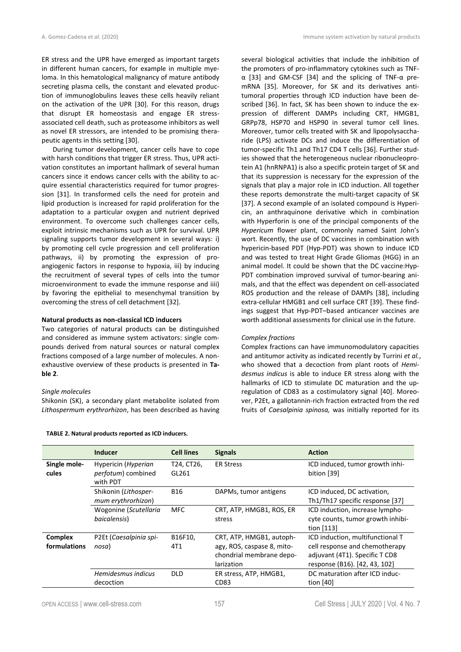ER stress and the UPR have emerged as important targets in different human cancers, for example in multiple myeloma. In this hematological malignancy of mature antibody secreting plasma cells, the constant and elevated production of immunoglobulins leaves these cells heavily reliant on the activation of the UPR [30]. For this reason, drugs that disrupt ER homeostasis and engage ER stressassociated cell death, such as proteasome inhibitors as well as novel ER stressors, are intended to be promising therapeutic agents in this setting [30].

During tumor development, cancer cells have to cope with harsh conditions that trigger ER stress. Thus, UPR activation constitutes an important hallmark of several human cancers since it endows cancer cells with the ability to acquire essential characteristics required for tumor progression [31]. In transformed cells the need for protein and lipid production is increased for rapid proliferation for the adaptation to a particular oxygen and nutrient deprived environment. To overcome such challenges cancer cells, exploit intrinsic mechanisms such as UPR for survival. UPR signaling supports tumor development in several ways: i) by promoting cell cycle progression and cell proliferation pathways, ii) by promoting the expression of proangiogenic factors in response to hypoxia, iii) by inducing the recruitment of several types of cells into the tumor microenvironment to evade the immune response and iiii) by favoring the epithelial to mesenchymal transition by overcoming the stress of cell detachment [32].

# **Natural products as non-classical ICD inducers**

Two categories of natural products can be distinguished and considered as immune system activators: single compounds derived from natural sources or natural complex fractions composed of a large number of molecules. A nonexhaustive overview of these products is presented in **Table 2**.

### *Single molecules*

Shikonin (SK), a secondary plant metabolite isolated from *Lithospermum erythrorhizon*, has been described as having several biological activities that include the inhibition of the promoters of pro-inflammatory cytokines such as TNFα [33] and GM-CSF [34] and the splicing of TNF-α premRNA [35]. Moreover, for SK and its derivatives antitumoral properties through ICD induction have been described [36]. In fact, SK has been shown to induce the expression of different DAMPs including CRT, HMGB1, GRPp78, HSP70 and HSP90 in several tumor cell lines. Moreover, tumor cells treated with SK and lipopolysaccharide (LPS) activate DCs and induce the differentiation of tumor-specific Th1 and Th17 CD4 T cells [36]. Further studies showed that the heterogeneous nuclear ribonucleoprotein A1 (hnRNPA1) is also a specific protein target of SK and that its suppression is necessary for the expression of the signals that play a major role in ICD induction. All together these reports demonstrate the multi-target capacity of SK [37]. A second example of an isolated compound is Hypericin, an anthraquinone derivative which in combination with Hyperforin is one of the principal components of the *Hypericum* flower plant, commonly named Saint John's wort. Recently, the use of DC vaccines in combination with hypericin-based PDT (Hyp-PDT) was shown to induce ICD and was tested to treat Hight Grade Gliomas (HGG) in an animal model. It could be shown that the DC vaccine:Hyp-PDT combination improved survival of tumor-bearing animals, and that the effect was dependent on cell-associated ROS production and the release of DAMPs [38], including extra-cellular HMGB1 and cell surface CRT [39]. These findings suggest that Hyp-PDT–based anticancer vaccines are worth additional assessments for clinical use in the future.

### *Complex fractions*

Complex fractions can have immunomodulatory capacities and antitumor activity as indicated recently by Turrini *et al.*, who showed that a decoction from plant roots of *Hemidesmus indicus* is able to induce ER stress along with the hallmarks of ICD to stimulate DC maturation and the upregulation of CD83 as a costimulatory signal [40]. Moreover, P2Et, a gallotannin-rich fraction extracted from the red fruits of *Caesalpinia spinosa,* was initially reported for its

|                                | <b>Inducer</b>                                        | <b>Cell lines</b>   | <b>Signals</b>                                                                                   | <b>Action</b>                                                                                                                         |
|--------------------------------|-------------------------------------------------------|---------------------|--------------------------------------------------------------------------------------------------|---------------------------------------------------------------------------------------------------------------------------------------|
| Single mole-<br>cules          | Hypericin (Hyperian<br>perfotum) combined<br>with PDT | T24, CT26,<br>GL261 | <b>ER Stress</b>                                                                                 | ICD induced, tumor growth inhi-<br>bition [39]                                                                                        |
|                                | Shikonin (Lithosper-<br>mum erythrorhizon)            | <b>B16</b>          | DAPMs, tumor antigens                                                                            | ICD induced, DC activation,<br>Th1/Th17 specific response [37]                                                                        |
|                                | Wogonine (Scutellaria<br>baicalensis)                 | MFC.                | CRT, ATP, HMGB1, ROS, ER<br>stress                                                               | ICD induction, increase lympho-<br>cyte counts, tumor growth inhibi-<br>tion $[113]$                                                  |
| <b>Complex</b><br>formulations | P2Et (Caesalpinia spi-<br>nosa)                       | B16F10,<br>4T1      | CRT, ATP, HMGB1, autoph-<br>agy, ROS, caspase 8, mito-<br>chondrial membrane depo-<br>larization | ICD induction, multifunctional T<br>cell response and chemotherapy<br>adjuvant (4T1). Specific T CD8<br>response (B16). [42, 43, 102] |
|                                | Hemidesmus indicus<br>decoction                       | <b>DLD</b>          | ER stress, ATP, HMGB1,<br>CD83                                                                   | DC maturation after ICD induc-<br>tion $[40]$                                                                                         |

#### **TABLE 2. Natural products reported as ICD inducers.**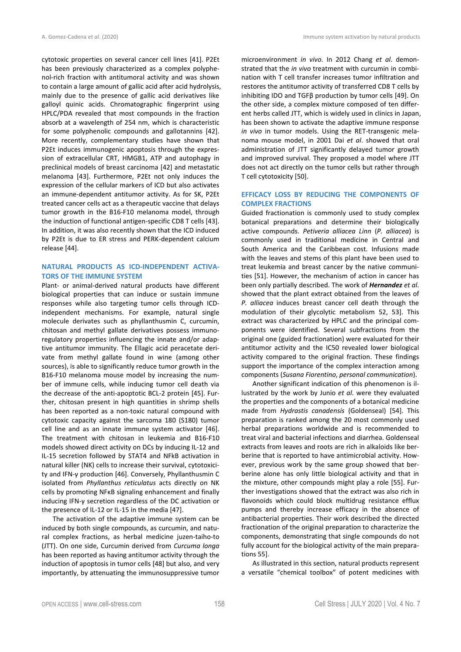cytotoxic properties on several cancer cell lines [41]. P2Et has been previously characterized as a complex polyphenol-rich fraction with antitumoral activity and was shown to contain a large amount of gallic acid after acid hydrolysis, mainly due to the presence of gallic acid derivatives like galloyl quinic acids. Chromatographic fingerprint using HPLC/PDA revealed that most compounds in the fraction absorb at a wavelength of 254 nm, which is characteristic for some polyphenolic compounds and gallotannins [42]. More recently, complementary studies have shown that P2Et induces immunogenic apoptosis through the expression of extracellular CRT, HMGB1, ATP and autophagy in preclinical models of breast carcinoma [42] and metastatic melanoma [43]. Furthermore, P2Et not only induces the expression of the cellular markers of ICD but also activates an immune-dependent antitumor activity. As for SK, P2Et treated cancer cells act as a therapeutic vaccine that delays tumor growth in the B16-F10 melanoma model, through the induction of functional antigen-specific CD8 T cells [43]. In addition, it was also recently shown that the ICD induced by P2Et is due to ER stress and PERK-dependent calcium release [44].

# **NATURAL PRODUCTS AS ICD-INDEPENDENT ACTIVA-TORS OF THE IMMUNE SYSTEM**

Plant- or animal-derived natural products have different biological properties that can induce or sustain immune responses while also targeting tumor cells through ICDindependent mechanisms. For example, natural single molecule derivates such as phyllanthusmin C, curcumin, chitosan and methyl gallate derivatives possess immunoregulatory properties influencing the innate and/or adaptive antitumor immunity. The Ellagic acid peracetate derivate from methyl gallate found in wine (among other sources), is able to significantly reduce tumor growth in the B16-F10 melanoma mouse model by increasing the number of immune cells, while inducing tumor cell death via the decrease of the anti-apoptotic BCL-2 protein [45]. Further, chitosan present in high quantities in shrimp shells has been reported as a non-toxic natural compound with cytotoxic capacity against the sarcoma 180 (S180) tumor cell line and as an innate immune system activator [46]. The treatment with chitosan in leukemia and B16-F10 models showed direct activity on DCs by inducing IL-12 and IL-15 secretion followed by STAT4 and NFkB activation in natural killer (NK) cells to increase their survival, cytotoxicity and IFN-γ production [46]. Conversely, Phyllanthusmin C isolated from *Phyllanthus reticulatus* acts directly on NK cells by promoting NFκB signaling enhancement and finally inducing IFN-γ secretion regardless of the DC activation or the presence of IL-12 or IL-15 in the media [47].

The activation of the adaptive immune system can be induced by both single compounds, as curcumin, and natural complex fractions, as herbal medicine juzen-taiho-to (JTT). On one side, Curcumin derived from *Curcuma longa* has been reported as having antitumor activity through the induction of apoptosis in tumor cells [48] but also, and very importantly, by attenuating the immunosuppressive tumor microenvironment *in vivo*. In 2012 Chang *et al*. demonstrated that the *in vivo* treatment with curcumin in combination with T cell transfer increases tumor infiltration and restores the antitumor activity of transferred CD8 T cells by inhibiting IDO and TGFβ production by tumor cells [49]. On the other side, a complex mixture composed of ten different herbs called JTT, which is widely used in clinics in Japan, has been shown to activate the adaptive immune response *in vivo* in tumor models. Using the RET-transgenic melanoma mouse model, in 2001 Dai *et al*. showed that oral administration of JTT significantly delayed tumor growth and improved survival. They proposed a model where JTT does not act directly on the tumor cells but rather through T cell cytotoxicity [50].

# **EFFICACY LOSS BY REDUCING THE COMPONENTS OF COMPLEX FRACTIONS**

Guided fractionation is commonly used to study complex botanical preparations and determine their biologically active compounds. *Petiveria alliacea Linn* (*P. alliacea*) is commonly used in traditional medicine in Central and South America and the Caribbean cost. Infusions made with the leaves and stems of this plant have been used to treat leukemia and breast cancer by the native communities [51]. However, the mechanism of action in cancer has been only partially described. The work of *Hernandez et al*. showed that the plant extract obtained from the leaves of *P. alliacea* induces breast cancer cell death through the modulation of their glycolytic metabolism 52, 53]. This extract was characterized by HPLC and the principal components were identified. Several subfractions from the original one (guided fractionation) were evaluated for their antitumor activity and the IC50 revealed lower biological activity compared to the original fraction. These findings support the importance of the complex interaction among components (*Susana Fiorentino*, *personal communication*).

Another significant indication of this phenomenon is illustrated by the work by Junio *et al*. were they evaluated the properties and the components of a botanical medicine made from *Hydrastis canadensis* (Goldenseal) [54]. This preparation is ranked among the 20 most commonly used herbal preparations worldwide and is recommended to treat viral and bacterial infections and diarrhea. Goldenseal extracts from leaves and roots are rich in alkaloids like berberine that is reported to have antimicrobial activity. However, previous work by the same group showed that berberine alone has only little biological activity and that in the mixture, other compounds might play a role [55]. Further investigations showed that the extract was also rich in flavonoids which could block multidrug resistance efflux pumps and thereby increase efficacy in the absence of antibacterial properties. Their work described the directed fractionation of the original preparation to characterize the components, demonstrating that single compounds do not fully account for the biological activity of the main preparations 55].

As illustrated in this section, natural products represent a versatile "chemical toolbox" of potent medicines with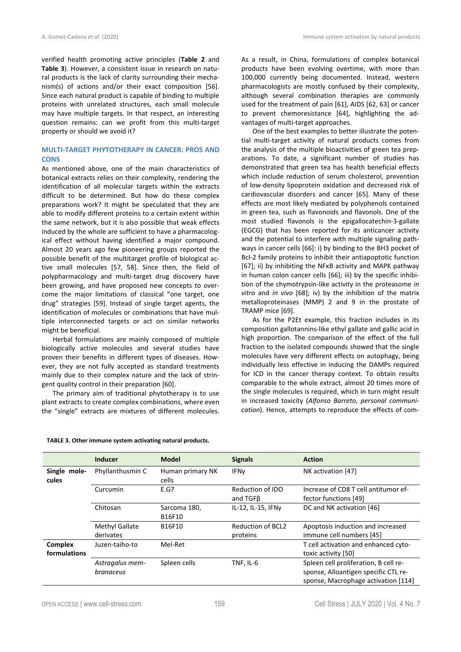verified health promoting active principles (**Table 2** and **Table 3**). However, a consistent issue in research on natural products is the lack of clarity surrounding their mechanism(s) of actions and/or their exact composition [56]. Since each natural product is capable of binding to multiple proteins with unrelated structures, each small molecule may have multiple targets. In that respect, an interesting question remains: can we profit from this multi-target property or should we avoid it?

# **MULTI-TARGET PHYTOTHERAPY IN CANCER: PROS AND CONS**

As mentioned above, one of the main characteristics of botanical extracts relies on their complexity, rendering the identification of all molecular targets within the extracts difficult to be determined. But how do these complex preparations work? It might be speculated that they are able to modify different proteins to a certain extent within the same network, but it is also possible that weak effects induced by the whole are sufficient to have a pharmacological effect without having identified a major compound. Almost 20 years ago few pioneering groups reported the possible benefit of the multitarget profile of biological active small molecules [57, 58]. Since then, the field of polypharmacology and multi-target drug discovery have been growing, and have proposed new concepts to overcome the major limitations of classical "one target, one drug" strategies [59]. Instead of single target agents, the identification of molecules or combinations that have multiple interconnected targets or act on similar networks might be beneficial.

Herbal formulations are mainly composed of multiple biologically active molecules and several studies have proven their benefits in different types of diseases. However, they are not fully accepted as standard treatments mainly due to their complex nature and the lack of stringent quality control in their preparation [60].

The primary aim of traditional phytotherapy is to use plant extracts to create complex combinations, where even the "single" extracts are mixtures of different molecules.

As a result, in China, formulations of complex botanical products have been evolving overtime, with more than 100,000 currently being documented. Instead, western pharmacologists are mostly confused by their complexity, although several combination therapies are commonly used for the treatment of pain [61], AIDS [62, 63] or cancer to prevent chemoresistance [64], highlighting the advantages of multi-target approaches.

One of the best examples to better illustrate the potential multi-target activity of natural products comes from the analysis of the multiple bioactivities of green tea preparations. To date, a significant number of studies has demonstrated that green tea has health beneficial effects which include reduction of serum cholesterol, prevention of low-density lipoprotein oxidation and decreased risk of cardiovascular disorders and cancer [65]. Many of these effects are most likely mediated by polyphenols contained in green tea, such as flavonoids and flavonols. One of the most studied flavonols is the epigallocatechin-3-gallate (EGCG) that has been reported for its anticancer activity and the potential to interfere with multiple signaling pathways in cancer cells [66]: i) by binding to the BH3 pocket of Bcl-2 family proteins to inhibit their antiapoptotic function [67]; ii) by inhibiting the NFκB activity and MAPK pathway in human colon cancer cells [66]; iii) by the specific inhibition of the chymotrypsin-like activity in the proteasome *in vitro* and *in vivo* [68]; iv) by the inhibition of the matrix metalloproteinases (MMP) 2 and 9 in the prostate of TRAMP mice [69].

As for the P2Et example, this fraction includes in its composition gallotannins-like ethyl gallate and gallic acid in high proportion. The comparison of the effect of the full fraction to the isolated compounds showed that the single molecules have very different effects on autophagy, being individually less effective in inducing the DAMPs required for ICD in the cancer therapy context. To obtain results comparable to the whole extract, almost 20 times more of the single molecules is required, which in turn might result in increased toxicity (*Alfonso Barreto*, *personal communication*). Hence, attempts to reproduce the effects of com-

|                                | Inducer                            | <b>Model</b>              | <b>Signals</b>                 | <b>Action</b>                                                                                                        |
|--------------------------------|------------------------------------|---------------------------|--------------------------------|----------------------------------------------------------------------------------------------------------------------|
| Single mole-<br>cules          | Phyllanthusmin C                   | Human primary NK<br>cells | IFNy                           | NK activation [47]                                                                                                   |
|                                | Curcumin                           | E.G7                      | Reduction of IDO<br>and $TGFB$ | Increase of CD8 T cell antitumor ef-<br>fector functions [49]                                                        |
|                                | Chitosan                           | Sarcoma 180,<br>B16F10    | IL-12, IL-15, IFNy             | DC and NK activation [46]                                                                                            |
|                                | <b>Methyl Gallate</b><br>derivates | B16F10                    | Reduction of BCL2<br>proteins  | Apoptosis induction and increased<br>immune cell numbers [45]                                                        |
| <b>Complex</b><br>formulations | Juzen-taiho-to                     | Mel-Ret                   |                                | T cell activation and enhanced cyto-<br>toxic activity [50]                                                          |
|                                | Astragalus mem-<br>branaceus       | Spleen cells              | TNF, IL-6                      | Spleen cell proliferation, B cell re-<br>sponse, Alloantigen specific CTL re-<br>sponse, Macrophage activation [114] |

# **TABLE 3. Other immune system activating natural products.**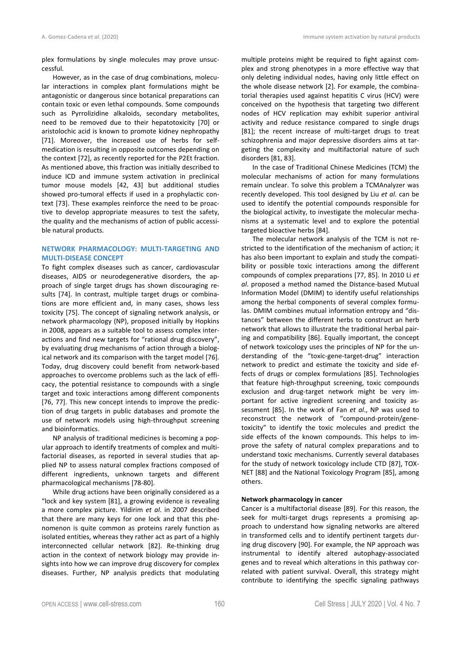plex formulations by single molecules may prove unsuccessful.

However, as in the case of drug combinations, molecular interactions in complex plant formulations might be antagonistic or dangerous since botanical preparations can contain toxic or even lethal compounds. Some compounds such as Pyrrolizidine alkaloids, secondary metabolites, need to be removed due to their hepatotoxicity [70] or aristolochic acid is known to promote kidney nephropathy [71]. Moreover, the increased use of herbs for selfmedication is resulting in opposite outcomes depending on the context [72], as recently reported for the P2Et fraction. As mentioned above, this fraction was initially described to induce ICD and immune system activation in preclinical tumor mouse models [42, 43] but additional studies showed pro-tumoral effects if used in a prophylactic context [73]. These examples reinforce the need to be proactive to develop appropriate measures to test the safety, the quality and the mechanisms of action of public accessible natural products.

# **NETWORK PHARMACOLOGY: MULTI-TARGETING AND MULTI-DISEASE CONCEPT**

To fight complex diseases such as cancer, cardiovascular diseases, AIDS or neurodegenerative disorders, the approach of single target drugs has shown discouraging results [74]. In contrast, multiple target drugs or combinations are more efficient and, in many cases, shows less toxicity [75]. The concept of signaling network analysis, or network pharmacology (NP), proposed initially by Hopkins in 2008, appears as a suitable tool to assess complex interactions and find new targets for "rational drug discovery", by evaluating drug mechanisms of action through a biological network and its comparison with the target model [76]. Today, drug discovery could benefit from network-based approaches to overcome problems such as the lack of efficacy, the potential resistance to compounds with a single target and toxic interactions among different components [76, 77]. This new concept intends to improve the prediction of drug targets in public databases and promote the use of network models using high-throughput screening and bioinformatics.

NP analysis of traditional medicines is becoming a popular approach to identify treatments of complex and multifactorial diseases, as reported in several studies that applied NP to assess natural complex fractions composed of different ingredients, unknown targets and different pharmacological mechanisms [78-80].

While drug actions have been originally considered as a "lock and key system [81], a growing evidence is revealing a more complex picture. Yildirim *et al*. in 2007 described that there are many keys for one lock and that this phenomenon is quite common as proteins rarely function as isolated entities, whereas they rather act as part of a highly interconnected cellular network [82]. Re-thinking drug action in the context of network biology may provide insights into how we can improve drug discovery for complex diseases. Further, NP analysis predicts that modulating multiple proteins might be required to fight against complex and strong phenotypes in a more effective way that only deleting individual nodes, having only little effect on the whole disease network [2]. For example, the combinatorial therapies used against hepatitis C virus (HCV) were conceived on the hypothesis that targeting two different nodes of HCV replication may exhibit superior antiviral activity and reduce resistance compared to single drugs [81]; the recent increase of multi-target drugs to treat schizophrenia and major depressive disorders aims at targeting the complexity and multifactorial nature of such disorders [81, 83].

In the case of Traditional Chinese Medicines (TCM) the molecular mechanisms of action for many formulations remain unclear. To solve this problem a TCMAnalyzer was recently developed. This tool designed by Liu *et al*. can be used to identify the potential compounds responsible for the biological activity, to investigate the molecular mechanisms at a systematic level and to explore the potential targeted bioactive herbs [84].

The molecular network analysis of the TCM is not restricted to the identification of the mechanism of action; it has also been important to explain and study the compatibility or possible toxic interactions among the different compounds of complex preparations [77, 85]. In 2010 Li *et al*. proposed a method named the Distance-based Mutual Information Model (DMIM) to identify useful relationships among the herbal components of several complex formulas. DMIM combines mutual information entropy and "distances" between the different herbs to construct an herb network that allows to illustrate the traditional herbal pairing and compatibility [86]. Equally important, the concept of network toxicology uses the principles of NP for the understanding of the "toxic-gene-target-drug" interaction network to predict and estimate the toxicity and side effects of drugs or complex formulations [85]. Technologies that feature high-throughput screening, toxic compounds exclusion and drug-target network might be very important for active ingredient screening and toxicity assessment [85]. In the work of Fan *et al*., NP was used to reconstruct the network of "compound-protein/genetoxicity" to identify the toxic molecules and predict the side effects of the known compounds. This helps to improve the safety of natural complex preparations and to understand toxic mechanisms. Currently several databases for the study of network toxicology include CTD [87], TOX-NET [88] and the National Toxicology Program [85], among others.

### **Network pharmacology in cancer**

Cancer is a multifactorial disease [89]. For this reason, the seek for multi-target drugs represents a promising approach to understand how signaling networks are altered in transformed cells and to identify pertinent targets during drug discovery [90]. For example, the NP approach was instrumental to identify altered autophagy-associated genes and to reveal which alterations in this pathway correlated with patient survival. Overall, this strategy might contribute to identifying the specific signaling pathways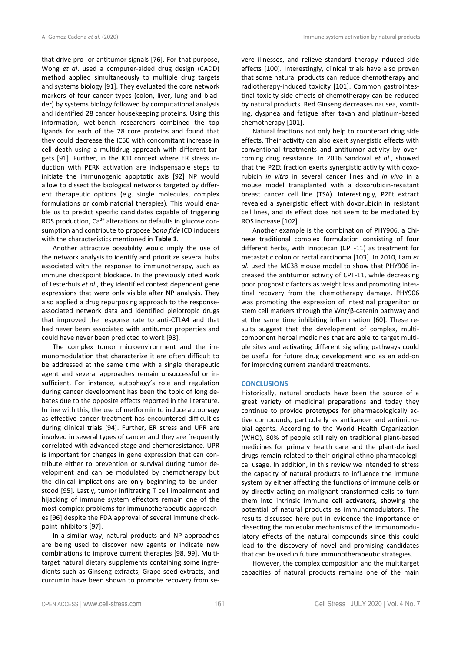that drive pro- or antitumor signals [76]. For that purpose, Wong *et al*. used a computer-aided drug design (CADD) method applied simultaneously to multiple drug targets and systems biology [91]. They evaluated the core network markers of four cancer types (colon, liver, lung and bladder) by systems biology followed by computational analysis and identified 28 cancer housekeeping proteins. Using this information, wet-bench researchers combined the top ligands for each of the 28 core proteins and found that they could decrease the IC50 with concomitant increase in cell death using a multidrug approach with different targets [91]. Further, in the ICD context where ER stress induction with PERK activation are indispensable steps to initiate the immunogenic apoptotic axis [92] NP would allow to dissect the biological networks targeted by different therapeutic options (e.g. single molecules, complex formulations or combinatorial therapies). This would enable us to predict specific candidates capable of triggering ROS production,  $Ca^{2+}$  alterations or defaults in glucose consumption and contribute to propose *bona fide* ICD inducers with the characteristics mentioned in **Table 1**.

Another attractive possibility would imply the use of the network analysis to identify and prioritize several hubs associated with the response to immunotherapy, such as immune checkpoint blockade. In the previously cited work of Lesterhuis *et al*., they identified context dependent gene expressions that were only visible after NP analysis. They also applied a drug repurposing approach to the responseassociated network data and identified pleiotropic drugs that improved the response rate to anti-CTLA4 and that had never been associated with antitumor properties and could have never been predicted to work [93].

The complex tumor microenvironment and the immunomodulation that characterize it are often difficult to be addressed at the same time with a single therapeutic agent and several approaches remain unsuccessful or insufficient. For instance, autophagy's role and regulation during cancer development has been the topic of long debates due to the opposite effects reported in the literature. In line with this, the use of metformin to induce autophagy as effective cancer treatment has encountered difficulties during clinical trials [94]. Further, ER stress and UPR are involved in several types of cancer and they are frequently correlated with advanced stage and chemoresistance. UPR is important for changes in gene expression that can contribute either to prevention or survival during tumor development and can be modulated by chemotherapy but the clinical implications are only beginning to be understood [95]. Lastly, tumor infiltrating T cell impairment and hijacking of immune system effectors remain one of the most complex problems for immunotherapeutic approaches [96] despite the FDA approval of several immune checkpoint inhibitors [97].

In a similar way, natural products and NP approaches are being used to discover new agents or indicate new combinations to improve current therapies [98, 99]. Multitarget natural dietary supplements containing some ingredients such as Ginseng extracts, Grape seed extracts, and curcumin have been shown to promote recovery from severe illnesses, and relieve standard therapy-induced side effects [100]. Interestingly, clinical trials have also proven that some natural products can reduce chemotherapy and radiotherapy-induced toxicity [101]. Common gastrointestinal toxicity side effects of chemotherapy can be reduced by natural products. Red Ginseng decreases nausea, vomiting, dyspnea and fatigue after taxan and platinum-based chemotherapy [101].

Natural fractions not only help to counteract drug side effects. Their activity can also exert synergistic effects with conventional treatments and antitumor activity by overcoming drug resistance. In 2016 Sandoval *et al*., showed that the P2Et fraction exerts synergistic activity with doxorubicin *in vitro* in several cancer lines and *in vivo* in a mouse model transplanted with a doxorubicin-resistant breast cancer cell line (TSA). Interestingly, P2Et extract revealed a synergistic effect with doxorubicin in resistant cell lines, and its effect does not seem to be mediated by ROS increase [102].

Another example is the combination of PHY906, a Chinese traditional complex formulation consisting of four different herbs, with Irinotecan (CPT-11) as treatment for metastatic colon or rectal carcinoma [103]. In 2010, Lam *et al*. used the MC38 mouse model to show that PHY906 increased the antitumor activity of CPT-11, while decreasing poor prognostic factors as weight loss and promoting intestinal recovery from the chemotherapy damage. PHY906 was promoting the expression of intestinal progenitor or stem cell markers through the Wnt/β-catenin pathway and at the same time inhibiting inflammation [60]. These results suggest that the development of complex, multicomponent herbal medicines that are able to target multiple sites and activating different signaling pathways could be useful for future drug development and as an add-on for improving current standard treatments.

### **CONCLUSIONS**

Historically, natural products have been the source of a great variety of medicinal preparations and today they continue to provide prototypes for pharmacologically active compounds, particularly as anticancer and antimicrobial agents. According to the World Health Organization (WHO), 80% of people still rely on traditional plant-based medicines for primary health care and the plant-derived drugs remain related to their original ethno pharmacological usage. In addition, in this review we intended to stress the capacity of natural products to influence the immune system by either affecting the functions of immune cells or by directly acting on malignant transformed cells to turn them into intrinsic immune cell activators, showing the potential of natural products as immunomodulators. The results discussed here put in evidence the importance of dissecting the molecular mechanisms of the immunomodulatory effects of the natural compounds since this could lead to the discovery of novel and promising candidates that can be used in future immunotherapeutic strategies.

However, the complex composition and the multitarget capacities of natural products remains one of the main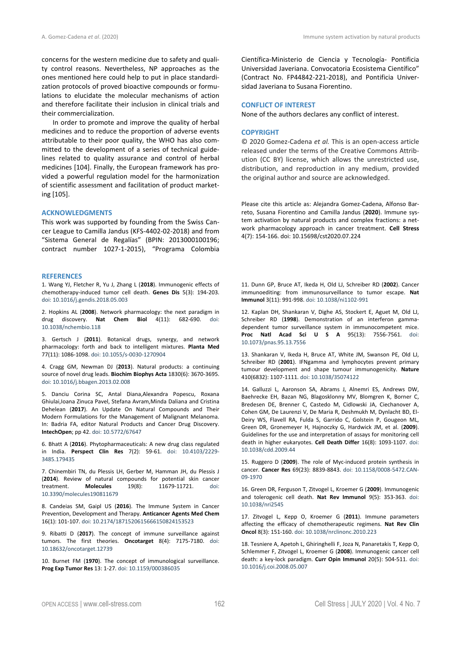concerns for the western medicine due to safety and quality control reasons. Nevertheless, NP approaches as the ones mentioned here could help to put in place standardization protocols of proved bioactive compounds or formulations to elucidate the molecular mechanisms of action and therefore facilitate their inclusion in clinical trials and their commercialization.

In order to promote and improve the quality of herbal medicines and to reduce the proportion of adverse events attributable to their poor quality, the WHO has also committed to the development of a series of technical guidelines related to quality assurance and control of herbal medicines [104]. Finally, the European framework has provided a powerful regulation model for the harmonization of scientific assessment and facilitation of product marketing [105].

### **ACKNOWLEDGMENTS**

This work was supported by founding from the Swiss Cancer League to Camilla Jandus (KFS-4402-02-2018) and from "Sistema General de Regalías" (BPIN: 2013000100196; contract number 1027-1-2015), "Programa Colombia

### **REFERENCES**

1. Wang YJ, Fletcher R, Yu J, Zhang L (**2018**). Immunogenic effects of chemotherapy-induced tumor cell death. **Genes Dis** 5(3): 194-203. doi: 10.1016/j.gendis.2018.05.003

2. Hopkins AL (**2008**). Network pharmacology: the next paradigm in drug discovery. **Nat Chem Biol** 4(11): 682-690. doi: 10.1038/nchembio.118

3. Gertsch J (**2011**). Botanical drugs, synergy, and network pharmacology: forth and back to intelligent mixtures. **Planta Med** 77(11): 1086-1098. doi: 10.1055/s-0030-1270904

4. Cragg GM, Newman DJ (**2013**). Natural products: a continuing source of novel drug leads. **Biochim Biophys Acta** 1830(6): 3670-3695. doi: 10.1016/j.bbagen.2013.02.008

5. Danciu Corina SC, Antal Diana,Alexandra Popescu, Roxana Ghiulai,Ioana Zinuca Pavel, Stefana Avram,Minda Daliana and Cristina Dehelean (**2017**). An Update On Natural Compounds and Their Modern Formulations for the Management of Malignant Melanoma. In: Badria FA, editor Natural Products and Cancer Drug Discovery. **IntechOpen**; pp 42. doi: 10.5772/67647

6. Bhatt A (**2016**). Phytopharmaceuticals: A new drug class regulated in India. **Perspect Clin Res** 7(2): 59-61. doi: 10.4103/2229- 3485.179435

7. Chinembiri TN, du Plessis LH, Gerber M, Hamman JH, du Plessis J (**2014**). Review of natural compounds for potential skin cancer 11679-11721. 10.3390/molecules190811679

8. Candeias SM, Gaipl US (**2016**). The Immune System in Cancer Prevention, Development and Therapy. **Anticancer Agents Med Chem** 16(1): 101-107. doi: 10.2174/1871520615666150824153523

9. Ribatti D (**2017**). The concept of immune surveillance against tumors. The first theories. **Oncotarget** 8(4): 7175-7180. doi: 10.18632/oncotarget.12739

10. Burnet FM (**1970**). The concept of immunological surveillance. **Prog Exp Tumor Res** 13: 1-27. doi: 10.1159/000386035

Científica-Ministerio de Ciencia y Tecnología- Pontificia Universidad Javeriana. Convocatoria Ecosistema Científico" (Contract No. FP44842-221-2018), and Pontificia Universidad Javeriana to Susana Fiorentino.

# **CONFLICT OF INTEREST**

None of the authors declares any conflict of interest.

### **COPYRIGHT**

© 2020 Gomez-Cadena *et al.* This is an open-access article released under the terms of the Creative Commons Attribution (CC BY) license, which allows the unrestricted use, distribution, and reproduction in any medium, provided the original author and source are acknowledged.

Please cite this article as: Alejandra Gomez-Cadena, Alfonso Barreto, Susana Fiorentino and Camilla Jandus (**2020**). Immune system activation by natural products and complex fractions: a network pharmacology approach in cancer treatment. **Cell Stress** 4(7): 154-166. doi: 10.15698/cst2020.07.224

11. Dunn GP, Bruce AT, Ikeda H, Old LJ, Schreiber RD (**2002**). Cancer immunoediting: from immunosurveillance to tumor escape. **Nat Immunol** 3(11): 991-998. doi: 10.1038/ni1102-991

12. Kaplan DH, Shankaran V, Dighe AS, Stockert E, Aguet M, Old LJ, Schreiber RD (**1998**). Demonstration of an interferon gammadependent tumor surveillance system in immunocompetent mice. **Proc Natl Acad Sci U S A** 95(13): 7556-7561. doi: 10.1073/pnas.95.13.7556

13. Shankaran V, Ikeda H, Bruce AT, White JM, Swanson PE, Old LJ, Schreiber RD (**2001**). IFNgamma and lymphocytes prevent primary tumour development and shape tumour immunogenicity. **Nature** 410(6832): 1107-1111. doi: 10.1038/35074122

14. Galluzzi L, Aaronson SA, Abrams J, Alnemri ES, Andrews DW, Baehrecke EH, Bazan NG, Blagosklonny MV, Blomgren K, Borner C, Bredesen DE, Brenner C, Castedo M, Cidlowski JA, Ciechanover A, Cohen GM, De Laurenzi V, De Maria R, Deshmukh M, Dynlacht BD, El-Deiry WS, Flavell RA, Fulda S, Garrido C, Golstein P, Gougeon ML, Green DR, Gronemeyer H, Hajnoczky G, Hardwick JM, et al. (**2009**). Guidelines for the use and interpretation of assays for monitoring cell death in higher eukaryotes. **Cell Death Differ** 16(8): 1093-1107. doi: 10.1038/cdd.2009.44

15. Ruggero D (**2009**). The role of Myc-induced protein synthesis in cancer. **Cancer Res** 69(23): 8839-8843. doi: 10.1158/0008-5472.CAN-09-1970

16. Green DR, Ferguson T, Zitvogel L, Kroemer G (**2009**). Immunogenic and tolerogenic cell death. **Nat Rev Immunol** 9(5): 353-363. doi: 10.1038/nri2545

17. Zitvogel L, Kepp O, Kroemer G (**2011**). Immune parameters affecting the efficacy of chemotherapeutic regimens. **Nat Rev Clin Oncol** 8(3): 151-160. doi: 10.1038/nrclinonc.2010.223

18. Tesniere A, Apetoh L, Ghiringhelli F, Joza N, Panaretakis T, Kepp O, Schlemmer F, Zitvogel L, Kroemer G (**2008**). Immunogenic cancer cell death: a key-lock paradigm. **Curr Opin Immunol** 20(5): 504-511. doi: 10.1016/j.coi.2008.05.007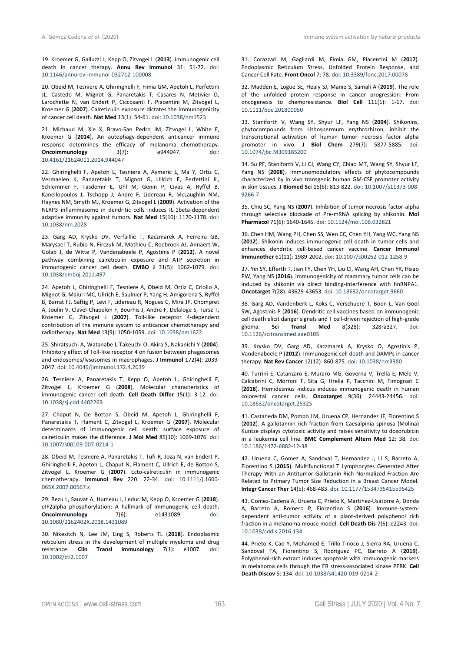19. Kroemer G, Galluzzi L, Kepp O, Zitvogel L (**2013**). Immunogenic cell death in cancer therapy. **Annu Rev Immunol** 31: 51-72. doi: 10.1146/annurev-immunol-032712-100008

20. Obeid M, Tesniere A, Ghiringhelli F, Fimia GM, Apetoh L, Perfettini JL, Castedo M, Mignot G, Panaretakis T, Casares N, Metivier D, Larochette N, van Endert P, Ciccosanti F, Piacentini M, Zitvogel L, Kroemer G (**2007**). Calreticulin exposure dictates the immunogenicity of cancer cell death. **Nat Med** 13(1): 54-61. doi: 10.1038/nm1523

21. Michaud M, Xie X, Bravo-San Pedro JM, Zitvogel L, White E, Kroemer G (**2014**). An autophagy-dependent anticancer immune response determines the efficacy of melanoma chemotherapy.<br> **Oncoimmunology** 3(7): e944047. doi: **Oncoimmunology** 3(7): e944047. doi: 10.4161/21624011.2014.944047

22. Ghiringhelli F, Apetoh L, Tesniere A, Aymeric L, Ma Y, Ortiz C, Vermaelen K, Panaretakis T, Mignot G, Ullrich E, Perfettini JL, Schlemmer F, Tasdemir E, Uhl M, Genin P, Civas A, Ryffel B, Kanellopoulos J, Tschopp J, Andre F, Lidereau R, McLaughlin NM, Haynes NM, Smyth MJ, Kroemer G, Zitvogel L (**2009**). Activation of the NLRP3 inflammasome in dendritic cells induces IL-1beta-dependent adaptive immunity against tumors. **Nat Med** 15(10): 1170-1178. doi: 10.1038/nm.2028

23. Garg AD, Krysko DV, Verfaillie T, Kaczmarek A, Ferreira GB, Marysael T, Rubio N, Firczuk M, Mathieu C, Roebroek AJ, Annaert W, Golab J, de Witte P, Vandenabeele P, Agostinis P (**2012**). A novel pathway combining calreticulin exposure and ATP secretion in immunogenic cancer cell death. **EMBO J** 31(5): 1062-1079. doi: 10.1038/emboj.2011.497

24. Apetoh L, Ghiringhelli F, Tesniere A, Obeid M, Ortiz C, Criollo A, Mignot G, Maiuri MC, Ullrich E, Saulnier P, Yang H, Amigorena S, Ryffel B, Barrat FJ, Saftig P, Levi F, Lidereau R, Nogues C, Mira JP, Chompret A, Joulin V, Clavel-Chapelon F, Bourhis J, Andre F, Delaloge S, Tursz T, Kroemer G, Zitvogel L (**2007**). Toll-like receptor 4-dependent contribution of the immune system to anticancer chemotherapy and radiotherapy. **Nat Med** 13(9): 1050-1059. doi: 10.1038/nm1622

25. Shiratsuchi A, Watanabe I, Takeuchi O, Akira S, Nakanishi Y (**2004**). Inhibitory effect of Toll-like receptor 4 on fusion between phagosomes and endosomes/lysosomes in macrophages. **J Immunol** 172(4): 2039- 2047. doi: 10.4049/jimmunol.172.4.2039

26. Tesniere A, Panaretakis T, Kepp O, Apetoh L, Ghiringhelli F, Zitvogel L, Kroemer G (**2008**). Molecular characteristics of immunogenic cancer cell death. **Cell Death Differ** 15(1): 3-12. doi: 10.1038/sj.cdd.4402269

27. Chaput N, De Botton S, Obeid M, Apetoh L, Ghiringhelli F, Panaretakis T, Flament C, Zitvogel L, Kroemer G (**2007**). Molecular determinants of immunogenic cell death: surface exposure of calreticulin makes the difference. **J Mol Med** 85(10): 1069-1076. doi: 10.1007/s00109-007-0214-1

28. Obeid M, Tesniere A, Panaretakis T, Tufi R, Joza N, van Endert P, Ghiringhelli F, Apetoh L, Chaput N, Flament C, Ullrich E, de Botton S, Zitvogel L, Kroemer G (**2007**). Ecto-calreticulin in immunogenic chemotherapy. **Immunol Rev** 220: 22-34. doi: 10.1111/j.1600- 065X.2007.00567.x

29. Bezu L, Sauvat A, Humeau J, Leduc M, Kepp O, Kroemer G (**2018**). eIF2alpha phosphorylation: A hallmark of immunogenic cell death.<br> **Oncoimmunology** 7(6): e1431089. doi: **Oncoimmunology** 7(6): e1431089. doi: 10.1080/2162402X.2018.1431089

30. Nikesitch N, Lee JM, Ling S, Roberts TL (**2018**). Endoplasmic reticulum stress in the development of multiple myeloma and drug resistance. **Clin Transl Immunology** 7(1): e1007. doi: 10.1002/cti2.1007

31. Corazzari M, Gagliardi M, Fimia GM, Piacentini M (**2017**). Endoplasmic Reticulum Stress, Unfolded Protein Response, and Cancer Cell Fate. **Front Oncol** 7: 78. doi: 10.3389/fonc.2017.00078

32. Madden E, Logue SE, Healy SJ, Manie S, Samali A (**2019**). The role of the unfolded protein response in cancer progression: From oncogenesis to chemoresistance. **Biol Cell** 111(1): 1-17. doi: 10.1111/boc.201800050

33. Staniforth V, Wang SY, Shyur LF, Yang NS (**2004**). Shikonins, phytocompounds from Lithospermum erythrorhizon, inhibit the transcriptional activation of human tumor necrosis factor alpha promoter in vivo. **J Biol Chem** 279(7): 5877-5885. doi: 10.1074/jbc.M309185200

34. Su PF, Staniforth V, Li CJ, Wang CY, Chiao MT, Wang SY, Shyur LF, Yang NS (**2008**). Immunomodulatory effects of phytocompounds characterized by in vivo transgenic human GM-CSF promoter activity in skin tissues. **J Biomed Sci** 15(6): 813-822. doi: 10.1007/s11373-008- 9266-7

35. Chiu SC, Yang NS (**2007**). Inhibition of tumor necrosis factor-alpha through selective blockade of Pre-mRNA splicing by shikonin. **Mol Pharmacol** 71(6): 1640-1645. doi: 10.1124/mol.106.032821

36. Chen HM, Wang PH, Chen SS, Wen CC, Chen YH, Yang WC, Yang NS (**2012**). Shikonin induces immunogenic cell death in tumor cells and enhances dendritic cell-based cancer vaccine. **Cancer Immunol Immunother** 61(11): 1989-2002. doi: 10.1007/s00262-012-1258-9

37. Yin SY, Efferth T, Jian FY, Chen YH, Liu CI, Wang AH, Chen YR, Hsiao PW, Yang NS (**2016**). Immunogenicity of mammary tumor cells can be induced by shikonin via direct binding-interference with hnRNPA1. **Oncotarget** 7(28): 43629-43653. doi: 10.18632/oncotarget.9660

38. Garg AD, Vandenberk L, Koks C, Verschuere T, Boon L, Van Gool SW, Agostinis P (**2016**). Dendritic cell vaccines based on immunogenic cell death elicit danger signals and T cell-driven rejection of high-grade<br>glioma. Sci Transl Med 8(328): 328ra327. doi: glioma. **Sci Transl Med** 8(328): 328ra327. doi: 10.1126/scitranslmed.aae0105

39. Krysko DV, Garg AD, Kaczmarek A, Krysko O, Agostinis P, Vandenabeele P (**2012**). Immunogenic cell death and DAMPs in cancer therapy. **Nat Rev Cancer** 12(12): 860-875. doi: 10.1038/nrc3380

40. Turrini E, Catanzaro E, Muraro MG, Governa V, Trella E, Mele V, Calcabrini C, Morroni F, Sita G, Hrelia P, Tacchini M, Fimognari C (**2018**). Hemidesmus indicus induces immunogenic death in human colorectal cancer cells. **Oncotarget** 9(36): 24443-24456. doi: 10.18632/oncotarget.25325

41. Castaneda DM, Pombo LM, Uruena CP, Hernandez JF, Fiorentino S (**2012**). A gallotannin-rich fraction from Caesalpinia spinosa (Molina) Kuntze displays cytotoxic activity and raises sensitivity to doxorubicin in a leukemia cell line. **BMC Complement Altern Med** 12: 38. doi: 10.1186/1472-6882-12-38

42. Uruena C, Gomez A, Sandoval T, Hernandez J, Li S, Barreto A, Fiorentino S (**2015**). Multifunctional T Lymphocytes Generated After Therapy With an Antitumor Gallotanin-Rich Normalized Fraction Are Related to Primary Tumor Size Reduction in a Breast Cancer Model. **Integr Cancer Ther** 14(5): 468-483. doi: 10.1177/1534735415596425

43. Gomez-Cadena A, Uruena C, Prieto K, Martinez-Usatorre A, Donda A, Barreto A, Romero P, Fiorentino S (**2016**). Immune-systemdependent anti-tumor activity of a plant-derived polyphenol rich fraction in a melanoma mouse model. **Cell Death Dis** 7(6): e2243. doi: 10.1038/cddis.2016.134

44. Prieto K, Cao Y, Mohamed E, Trillo-Tinoco J, Sierra RA, Uruena C, Sandoval TA, Fiorentino S, Rodriguez PC, Barreto A (**2019**). Polyphenol-rich extract induces apoptosis with immunogenic markers in melanoma cells through the ER stress-associated kinase PERK. **Cell Death Discov** 5: 134. doi: 10.1038/s41420-019-0214-2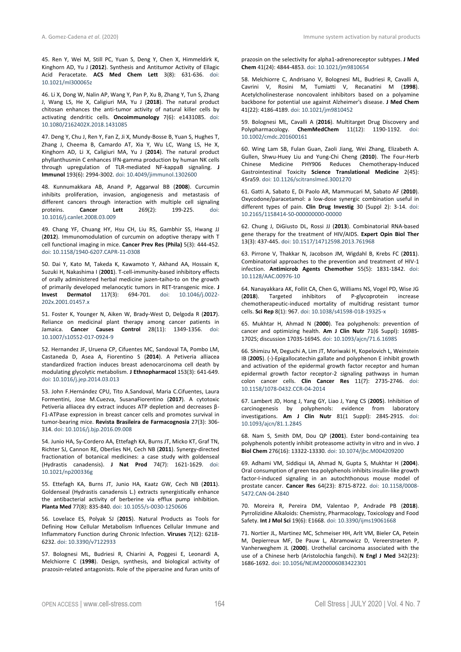45. Ren Y, Wei M, Still PC, Yuan S, Deng Y, Chen X, Himmeldirk K, Kinghorn AD, Yu J (**2012**). Synthesis and Antitumor Activity of Ellagic Acid Peracetate. **ACS Med Chem Lett** 3(8): 631-636. doi: 10.1021/ml300065z

46. Li X, Dong W, Nalin AP, Wang Y, Pan P, Xu B, Zhang Y, Tun S, Zhang J, Wang LS, He X, Caligiuri MA, Yu J (**2018**). The natural product chitosan enhances the anti-tumor activity of natural killer cells by activating dendritic cells. **Oncoimmunology** 7(6): e1431085. doi: 10.1080/2162402X.2018.1431085

47. Deng Y, Chu J, Ren Y, Fan Z, Ji X, Mundy-Bosse B, Yuan S, Hughes T, Zhang J, Cheema B, Camardo AT, Xia Y, Wu LC, Wang LS, He X, Kinghorn AD, Li X, Caligiuri MA, Yu J (**2014**). The natural product phyllanthusmin C enhances IFN-gamma production by human NK cells through upregulation of TLR-mediated NF-kappaB signaling. **J Immunol** 193(6): 2994-3002. doi: 10.4049/jimmunol.1302600

48. Kunnumakkara AB, Anand P, Aggarwal BB (**2008**). Curcumin inhibits proliferation, invasion, angiogenesis and metastasis of different cancers through interaction with multiple cell signaling proteins. **Cancer Lett** 269(2): 199-225. doi: 10.1016/j.canlet.2008.03.009

49. Chang YF, Chuang HY, Hsu CH, Liu RS, Gambhir SS, Hwang JJ (**2012**). Immunomodulation of curcumin on adoptive therapy with T cell functional imaging in mice. **Cancer Prev Res (Phila)** 5(3): 444-452. doi: 10.1158/1940-6207.CAPR-11-0308

50. Dai Y, Kato M, Takeda K, Kawamoto Y, Akhand AA, Hossain K, Suzuki H, Nakashima I (**2001**). T-cell-immunity-based inhibitory effects of orally administered herbal medicine juzen-taiho-to on the growth of primarily developed melanocytic tumors in RET-transgenic mice. **J Invest Dermatol** 117(3): 694-701. doi: 10.1046/j.0022- 202x.2001.01457.x

51. Foster K, Younger N, Aiken W, Brady-West D, Delgoda R (**2017**). Reliance on medicinal plant therapy among cancer patients in Jamaica. **Cancer Causes Control** 28(11): 1349-1356. doi: 10.1007/s10552-017-0924-9

52. Hernandez JF, Uruena CP, Cifuentes MC, Sandoval TA, Pombo LM, Castaneda D, Asea A, Fiorentino S (**2014**). A Petiveria alliacea standardized fraction induces breast adenocarcinoma cell death by modulating glycolytic metabolism. **J Ethnopharmacol** 153(3): 641-649. doi: 10.1016/j.jep.2014.03.013

53. John F.Hernández CPU, Tito A.Sandoval, Maria C.Cifuentes, Laura Formentini, Jose M.Cuezva, SusanaFiorentino (**2017**). A cytotoxic Petiveria alliacea dry extract induces ATP depletion and decreases β-F1-ATPase expression in breast cancer cells and promotes survival in tumor-bearing mice. **Revista Brasileira de Farmacognosia** 27(3): 306- 314. doi: 10.1016/j.bjp.2016.09.008

54. Junio HA, Sy-Cordero AA, Ettefagh KA, Burns JT, Micko KT, Graf TN, Richter SJ, Cannon RE, Oberlies NH, Cech NB (**2011**). Synergy-directed fractionation of botanical medicines: a case study with goldenseal (Hydrastis canadensis). **J Nat Prod** 74(7): 1621-1629. doi: 10.1021/np200336g

55. Ettefagh KA, Burns JT, Junio HA, Kaatz GW, Cech NB (**2011**). Goldenseal (Hydrastis canadensis L.) extracts synergistically enhance the antibacterial activity of berberine via efflux pump inhibition. **Planta Med** 77(8): 835-840. doi: 10.1055/s-0030-1250606

56. Lovelace ES, Polyak SJ (**2015**). Natural Products as Tools for Defining How Cellular Metabolism Influences Cellular Immune and Inflammatory Function during Chronic Infection. **Viruses** 7(12): 6218- 6232. doi: 10.3390/v7122933

57. Bolognesi ML, Budriesi R, Chiarini A, Poggesi E, Leonardi A, Melchiorre C (**1998**). Design, synthesis, and biological activity of prazosin-related antagonists. Role of the piperazine and furan units of prazosin on the selectivity for alpha1-adrenoreceptor subtypes. **J Med Chem** 41(24): 4844-4853. doi: 10.1021/jm9810654

58. Melchiorre C, Andrisano V, Bolognesi ML, Budriesi R, Cavalli A, Cavrini V, Rosini M, Tumiatti V, Recanatini M (**1998**). Acetylcholinesterase noncovalent inhibitors based on a polyamine backbone for potential use against Alzheimer's disease. **J Med Chem** 41(22): 4186-4189. doi: 10.1021/jm9810452

59. Bolognesi ML, Cavalli A (**2016**). Multitarget Drug Discovery and Polypharmacology. **ChemMedChem** 11(12): 1190-1192. doi: 10.1002/cmdc.201600161

60. Wing Lam SB, Fulan Guan, Zaoli Jiang, Wei Zhang, Elizabeth A. Gullen, Shwu-Huey Liu and Yung-Chi Cheng (**2010**). The Four-Herb Chinese Medicine PHY906 Reduces Chemotherapy-Induced Gastrointestinal Toxicity **Science Translational Medicine** 2(45): 45ra59. doi: 10.1126/scitranslmed.3001270

61. Gatti A, Sabato E, Di Paolo AR, Mammucari M, Sabato AF (**2010**). Oxycodone/paracetamol: a low-dose synergic combination useful in different types of pain. **Clin Drug Investig** 30 (Suppl 2): 3-14. doi: 10.2165/1158414-S0-000000000-00000

62. Chung J, DiGiusto DL, Rossi JJ (**2013**). Combinatorial RNA-based gene therapy for the treatment of HIV/AIDS. **Expert Opin Biol Ther** 13(3): 437-445. doi: 10.1517/14712598.2013.761968

63. Pirrone V, Thakkar N, Jacobson JM, Wigdahl B, Krebs FC (**2011**). Combinatorial approaches to the prevention and treatment of HIV-1 infection. **Antimicrob Agents Chemother** 55(5): 1831-1842. doi: 10.1128/AAC.00976-10

64. Nanayakkara AK, Follit CA, Chen G, Williams NS, Vogel PD, Wise JG (**2018**). Targeted inhibitors of P-glycoprotein increase chemotherapeutic-induced mortality of multidrug resistant tumor cells. **Sci Rep** 8(1): 967. doi: 10.1038/s41598-018-19325-x

65. Mukhtar H, Ahmad N (**2000**). Tea polyphenols: prevention of cancer and optimizing health. **Am J Clin Nutr** 71(6 Suppl): 1698S-1702S; discussion 1703S-1694S. doi: 10.1093/ajcn/71.6.1698S

66. Shimizu M, Deguchi A, Lim JT, Moriwaki H, Kopelovich L, Weinstein IB (**2005**). (-)-Epigallocatechin gallate and polyphenon E inhibit growth and activation of the epidermal growth factor receptor and human epidermal growth factor receptor-2 signaling pathways in human colon cancer cells. **Clin Cancer Res** 11(7): 2735-2746. doi: 10.1158/1078-0432.CCR-04-2014

67. Lambert JD, Hong J, Yang GY, Liao J, Yang CS (**2005**). Inhibition of carcinogenesis by polyphenols: evidence from laboratory investigations. **Am J Clin Nutr** 81(1 Suppl): 284S-291S. doi: 10.1093/ajcn/81.1.284S

68. Nam S, Smith DM, Dou QP (**2001**). Ester bond-containing tea polyphenols potently inhibit proteasome activity in vitro and in vivo. **J Biol Chem** 276(16): 13322-13330. doi: 10.1074/jbc.M004209200

69. Adhami VM, Siddiqui IA, Ahmad N, Gupta S, Mukhtar H (**2004**). Oral consumption of green tea polyphenols inhibits insulin-like growth factor-I-induced signaling in an autochthonous mouse model of prostate cancer. **Cancer Res** 64(23): 8715-8722. doi: 10.1158/0008- 5472.CAN-04-2840

70. Moreira R, Pereira DM, Valentao P, Andrade PB (**2018**). Pyrrolizidine Alkaloids: Chemistry, Pharmacology, Toxicology and Food Safety. **Int J Mol Sci** 19(6): E1668. doi: 10.3390/ijms19061668

71. Nortier JL, Martinez MC, Schmeiser HH, Arlt VM, Bieler CA, Petein M, Depierreux MF, De Pauw L, Abramowicz D, Vereerstraeten P, Vanherweghem JL (**2000**). Urothelial carcinoma associated with the use of a Chinese herb (Aristolochia fangchi). **N Engl J Med** 342(23): 1686-1692. doi: 10.1056/NEJM200006083422301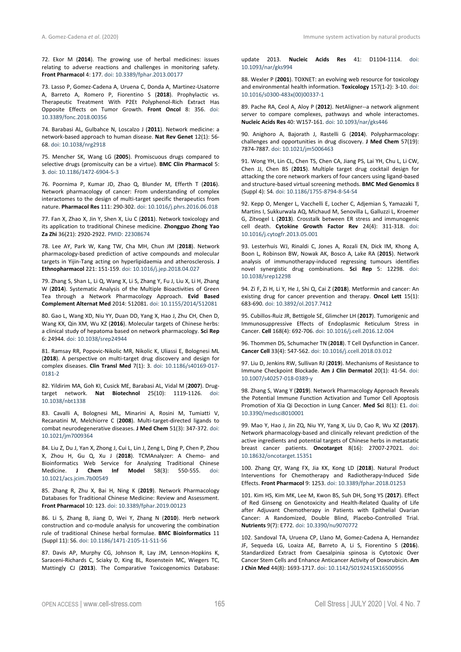72. Ekor M (**2014**). The growing use of herbal medicines: issues relating to adverse reactions and challenges in monitoring safety. **Front Pharmacol** 4: 177. doi: 10.3389/fphar.2013.00177

73. Lasso P, Gomez-Cadena A, Uruena C, Donda A, Martinez-Usatorre A, Barreto A, Romero P, Fiorentino S (**2018**). Prophylactic vs. Therapeutic Treatment With P2Et Polyphenol-Rich Extract Has Opposite Effects on Tumor Growth. **Front Oncol** 8: 356. doi: 10.3389/fonc.2018.00356

74. Barabasi AL, Gulbahce N, Loscalzo J (**2011**). Network medicine: a network-based approach to human disease. **Nat Rev Genet** 12(1): 56- 68. doi: 10.1038/nrg2918

75. Mencher SK, Wang LG (**2005**). Promiscuous drugs compared to selective drugs (promiscuity can be a virtue). **BMC Clin Pharmacol** 5: 3. doi: 10.1186/1472-6904-5-3

76. Poornima P, Kumar JD, Zhao Q, Blunder M, Efferth T (**2016**). Network pharmacology of cancer: From understanding of complex interactomes to the design of multi-target specific therapeutics from nature. **Pharmacol Res** 111: 290-302. doi: 10.1016/j.phrs.2016.06.018

77. Fan X, Zhao X, Jin Y, Shen X, Liu C (**2011**). Network toxicology and its application to traditional Chinese medicine. **Zhongguo Zhong Yao Za Zhi** 36(21): 2920-2922. PMID: 22308674

78. Lee AY, Park W, Kang TW, Cha MH, Chun JM (**2018**). Network pharmacology-based prediction of active compounds and molecular targets in Yijin-Tang acting on hyperlipidaemia and atherosclerosis. **J Ethnopharmacol** 221: 151-159. doi: 10.1016/j.jep.2018.04.027

79. Zhang S, Shan L, Li Q, Wang X, Li S, Zhang Y, Fu J, Liu X, Li H, Zhang W (**2014**). Systematic Analysis of the Multiple Bioactivities of Green Tea through a Network Pharmacology Approach. **Evid Based Complement Alternat Med** 2014: 512081. doi: 10.1155/2014/512081

80. Gao L, Wang XD, Niu YY, Duan DD, Yang X, Hao J, Zhu CH, Chen D, Wang KX, Qin XM, Wu XZ (**2016**). Molecular targets of Chinese herbs: a clinical study of hepatoma based on network pharmacology. **Sci Rep** 6: 24944. doi: 10.1038/srep24944

81. Ramsay RR, Popovic-Nikolic MR, Nikolic K, Uliassi E, Bolognesi ML (**2018**). A perspective on multi-target drug discovery and design for complex diseases. **Clin Transl Med** 7(1): 3. doi: 10.1186/s40169-017- 0181-2

82. Yildirim MA, Goh KI, Cusick ME, Barabasi AL, Vidal M (**2007**). Drugtarget network. **Nat Biotechnol** 25(10): 1119-1126. doi: 10.1038/nbt1338

83. Cavalli A, Bolognesi ML, Minarini A, Rosini M, Tumiatti V, Recanatini M, Melchiorre C (**2008**). Multi-target-directed ligands to combat neurodegenerative diseases. **J Med Chem** 51(3): 347-372. doi: 10.1021/jm7009364

84. Liu Z, Du J, Yan X, Zhong J, Cui L, Lin J, Zeng L, Ding P, Chen P, Zhou X, Zhou H, Gu Q, Xu J (**2018**). TCMAnalyzer: A Chemo- and Bioinformatics Web Service for Analyzing Traditional Chinese Medicine. **J Chem Inf Model** 58(3): 550-555. doi: 10.1021/acs.jcim.7b00549

85. Zhang R, Zhu X, Bai H, Ning K (**2019**). Network Pharmacology Databases for Traditional Chinese Medicine: Review and Assessment. **Front Pharmacol** 10: 123. doi: 10.3389/fphar.2019.00123

86. Li S, Zhang B, Jiang D, Wei Y, Zhang N (**2010**). Herb network construction and co-module analysis for uncovering the combination rule of traditional Chinese herbal formulae. **BMC Bioinformatics** 11 (Suppl 11): S6. doi: 10.1186/1471-2105-11-S11-S6

87. Davis AP, Murphy CG, Johnson R, Lay JM, Lennon-Hopkins K, Saraceni-Richards C, Sciaky D, King BL, Rosenstein MC, Wiegers TC, Mattingly CJ (**2013**). The Comparative Toxicogenomics Database:

update 2013. **Nucleic Acids Res** 41: D1104-1114. doi: 10.1093/nar/gks994

88. Wexler P (**2001**). TOXNET: an evolving web resource for toxicology and environmental health information. **Toxicology** 157(1-2): 3-10. doi: 10.1016/s0300-483x(00)00337-1

89. Pache RA, Ceol A, Aloy P (**2012**). NetAligner--a network alignment server to compare complexes, pathways and whole interactomes. **Nucleic Acids Res** 40: W157-161. doi: 10.1093/nar/gks446

90. Anighoro A, Bajorath J, Rastelli G (**2014**). Polypharmacology: challenges and opportunities in drug discovery. **J Med Chem** 57(19): 7874-7887. doi: 10.1021/jm5006463

91. Wong YH, Lin CL, Chen TS, Chen CA, Jiang PS, Lai YH, Chu L, Li CW, Chen JJ, Chen BS (**2015**). Multiple target drug cocktail design for attacking the core network markers of four cancers using ligand-based and structure-based virtual screening methods. **BMC Med Genomics** 8 (Suppl 4): S4. doi: 10.1186/1755-8794-8-S4-S4

92. Kepp O, Menger L, Vacchelli E, Locher C, Adjemian S, Yamazaki T, Martins I, Sukkurwala AQ, Michaud M, Senovilla L, Galluzzi L, Kroemer G, Zitvogel L (**2013**). Crosstalk between ER stress and immunogenic cell death. **Cytokine Growth Factor Rev** 24(4): 311-318. doi: 10.1016/j.cytogfr.2013.05.001

93. Lesterhuis WJ, Rinaldi C, Jones A, Rozali EN, Dick IM, Khong A, Boon L, Robinson BW, Nowak AK, Bosco A, Lake RA (**2015**). Network analysis of immunotherapy-induced regressing tumours identifies novel synergistic drug combinations. **Sci Rep** 5: 12298. doi: 10.1038/srep12298

94. Zi F, Zi H, Li Y, He J, Shi Q, Cai Z (**2018**). Metformin and cancer: An existing drug for cancer prevention and therapy. **Oncol Lett** 15(1): 683-690. doi: 10.3892/ol.2017.7412

95. Cubillos-Ruiz JR, Bettigole SE, Glimcher LH (**2017**). Tumorigenic and Immunosuppressive Effects of Endoplasmic Reticulum Stress in Cancer. **Cell** 168(4): 692-706. doi: 10.1016/j.cell.2016.12.004

96. Thommen DS, Schumacher TN (**2018**). T Cell Dysfunction in Cancer. **Cancer Cell** 33(4): 547-562. doi: 10.1016/j.ccell.2018.03.012

97. Liu D, Jenkins RW, Sullivan RJ (**2019**). Mechanisms of Resistance to Immune Checkpoint Blockade. **Am J Clin Dermatol** 20(1): 41-54. doi: 10.1007/s40257-018-0389-y

98. Zhang S, Wang Y (**2019**). Network Pharmacology Approach Reveals the Potential Immune Function Activation and Tumor Cell Apoptosis Promotion of Xia Qi Decoction in Lung Cancer. **Med Sci** 8(1): E1. doi: 10.3390/medsci8010001

99. Mao Y, Hao J, Jin ZQ, Niu YY, Yang X, Liu D, Cao R, Wu XZ (**2017**). Network pharmacology-based and clinically relevant prediction of the active ingredients and potential targets of Chinese herbs in metastatic breast cancer patients. **Oncotarget** 8(16): 27007-27021. doi: 10.18632/oncotarget.15351

100. Zhang QY, Wang FX, Jia KK, Kong LD (**2018**). Natural Product Interventions for Chemotherapy and Radiotherapy-Induced Side Effects. **Front Pharmacol** 9: 1253. doi: 10.3389/fphar.2018.01253

101. Kim HS, Kim MK, Lee M, Kwon BS, Suh DH, Song YS (**2017**). Effect of Red Ginseng on Genotoxicity and Health-Related Quality of Life after Adjuvant Chemotherapy in Patients with Epithelial Ovarian Cancer: A Randomized, Double Blind, Placebo-Controlled Trial. **Nutrients** 9(7): E772. doi: 10.3390/nu9070772

102. Sandoval TA, Uruena CP, Llano M, Gomez-Cadena A, Hernandez JF, Sequeda LG, Loaiza AE, Barreto A, Li S, Fiorentino S (**2016**). Standardized Extract from Caesalpinia spinosa is Cytotoxic Over Cancer Stem Cells and Enhance Anticancer Activity of Doxorubicin. **Am J Chin Med** 44(8): 1693-1717. doi: 10.1142/S0192415X16500956